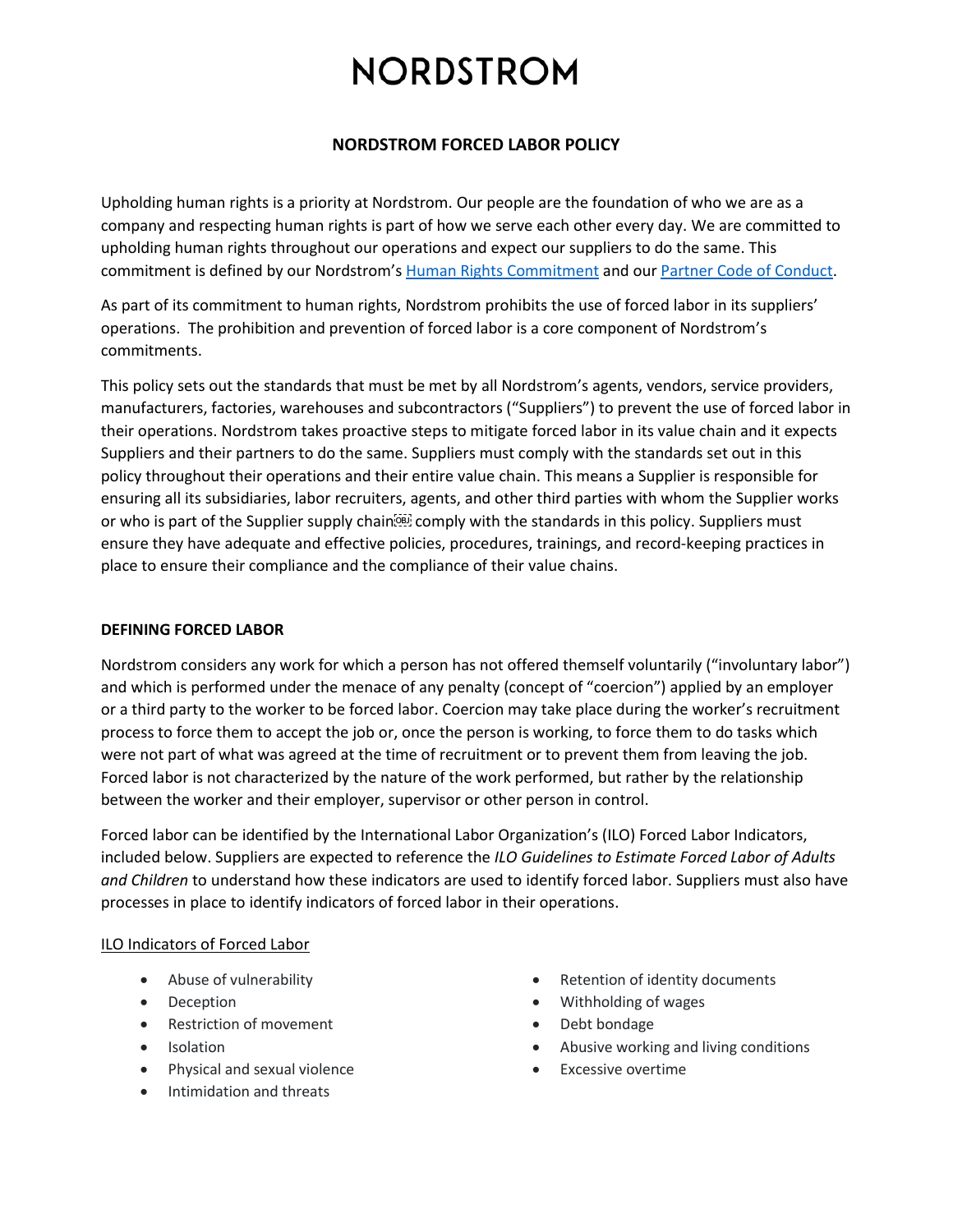# **NORDSTROM FORCED LABOR POLICY**

Upholding human rights is a priority at Nordstrom. Our people are the foundation of who we are as a company and respecting human rights is part of how we serve each other every day. We are committed to upholding human rights throughout our operations and expect our suppliers to do the same. This commitment is defined by our Nordstrom's [Human Rights Commitment](https://n.nordstrommedia.com/id/9ddcdbff-4c69-4d5c-b9a8-7d0837f010b2.pdf?jid=j011535-13617&cid=00000&cm_sp=merch-_-corporate_social_responsibility_13617_j011535-_-freelayout_corp_p01_info&) and ou[r Partner Code of Conduct.](https://www.nordstrom.com/browse/nordstrom-cares/strategy-governance-reporting/partner-code-of-conduct)

As part of its commitment to human rights, Nordstrom prohibits the use of forced labor in its suppliers' operations. The prohibition and prevention of forced labor is a core component of Nordstrom's commitments.

This policy sets out the standards that must be met by all Nordstrom's agents, vendors, service providers, manufacturers, factories, warehouses and subcontractors ("Suppliers") to prevent the use of forced labor in their operations. Nordstrom takes proactive steps to mitigate forced labor in its value chain and it expects Suppliers and their partners to do the same. Suppliers must comply with the standards set out in this policy throughout their operations and their entire value chain. This means a Supplier is responsible for ensuring all its subsidiaries, labor recruiters, agents, and other third parties with whom the Supplier works or who is part of the Supplier supply chain **comply with the standards in this policy**. Suppliers must ensure they have adequate and effective policies, procedures, trainings, and record-keeping practices in place to ensure their compliance and the compliance of their value chains.

# **DEFINING FORCED LABOR**

Nordstrom considers any work for which a person has not offered themself voluntarily ("involuntary labor") and which is performed under the menace of any penalty (concept of "coercion") applied by an employer or a third party to the worker to be forced labor. Coercion may take place during the worker's recruitment process to force them to accept the job or, once the person is working, to force them to do tasks which were not part of what was agreed at the time of recruitment or to prevent them from leaving the job. Forced labor is not characterized by the nature of the work performed, but rather by the relationship between the worker and their employer, supervisor or other person in control.

Forced labor can be identified by the International Labor Organization's (ILO) Forced Labor Indicators, included below. Suppliers are expected to reference the *ILO Guidelines to Estimate Forced Labor of Adults and Children* to understand how these indicators are used to identify forced labor. Suppliers must also have processes in place to identify indicators of forced labor in their operations.

# ILO Indicators of Forced Labor

- Abuse of vulnerability
- Deception
- Restriction of movement
- Isolation
- Physical and sexual violence
- Intimidation and threats
- Retention of identity documents
- Withholding of wages
- Debt bondage
- Abusive working and living conditions
- **Excessive overtime**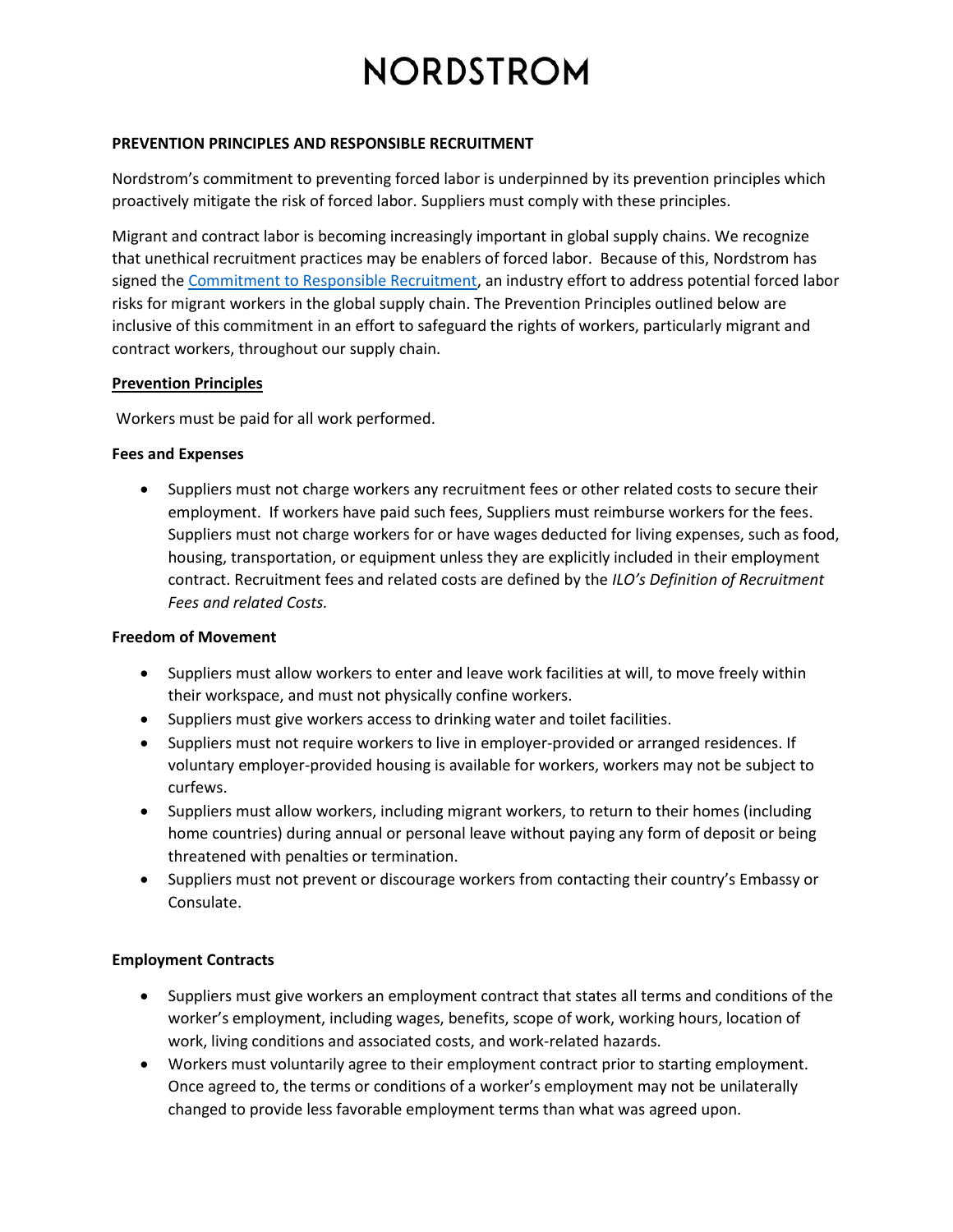#### **PREVENTION PRINCIPLES AND RESPONSIBLE RECRUITMENT**

Nordstrom's commitment to preventing forced labor is underpinned by its prevention principles which proactively mitigate the risk of forced labor. Suppliers must comply with these principles.

Migrant and contract labor is becoming increasingly important in global supply chains. We recognize that unethical recruitment practices may be enablers of forced labor. Because of this, Nordstrom has signed the [Commitment to Responsible Recruitment,](https://www.aafaglobal.org/AAFA/Solutions_Pages/Commitment_to_Responsible_Recruitment) an industry effort to address potential forced labor risks for migrant workers in the global supply chain. The Prevention Principles outlined below are inclusive of this commitment in an effort to safeguard the rights of workers, particularly migrant and contract workers, throughout our supply chain.

#### **Prevention Principles**

Workers must be paid for all work performed.

# **Fees and Expenses**

• Suppliers must not charge workers any recruitment fees or other related costs to secure their employment. If workers have paid such fees, Suppliers must reimburse workers for the fees. Suppliers must not charge workers for or have wages deducted for living expenses, such as food, housing, transportation, or equipment unless they are explicitly included in their employment contract. Recruitment fees and related costs are defined by the *ILO's Definition of Recruitment Fees and related Costs.*

# **Freedom of Movement**

- Suppliers must allow workers to enter and leave work facilities at will, to move freely within their workspace, and must not physically confine workers.
- Suppliers must give workers access to drinking water and toilet facilities.
- Suppliers must not require workers to live in employer-provided or arranged residences. If voluntary employer-provided housing is available for workers, workers may not be subject to curfews.
- Suppliers must allow workers, including migrant workers, to return to their homes (including home countries) during annual or personal leave without paying any form of deposit or being threatened with penalties or termination.
- Suppliers must not prevent or discourage workers from contacting their country's Embassy or Consulate.

# **Employment Contracts**

- Suppliers must give workers an employment contract that states all terms and conditions of the worker's employment, including wages, benefits, scope of work, working hours, location of work, living conditions and associated costs, and work-related hazards.
- Workers must voluntarily agree to their employment contract prior to starting employment. Once agreed to, the terms or conditions of a worker's employment may not be unilaterally changed to provide less favorable employment terms than what was agreed upon.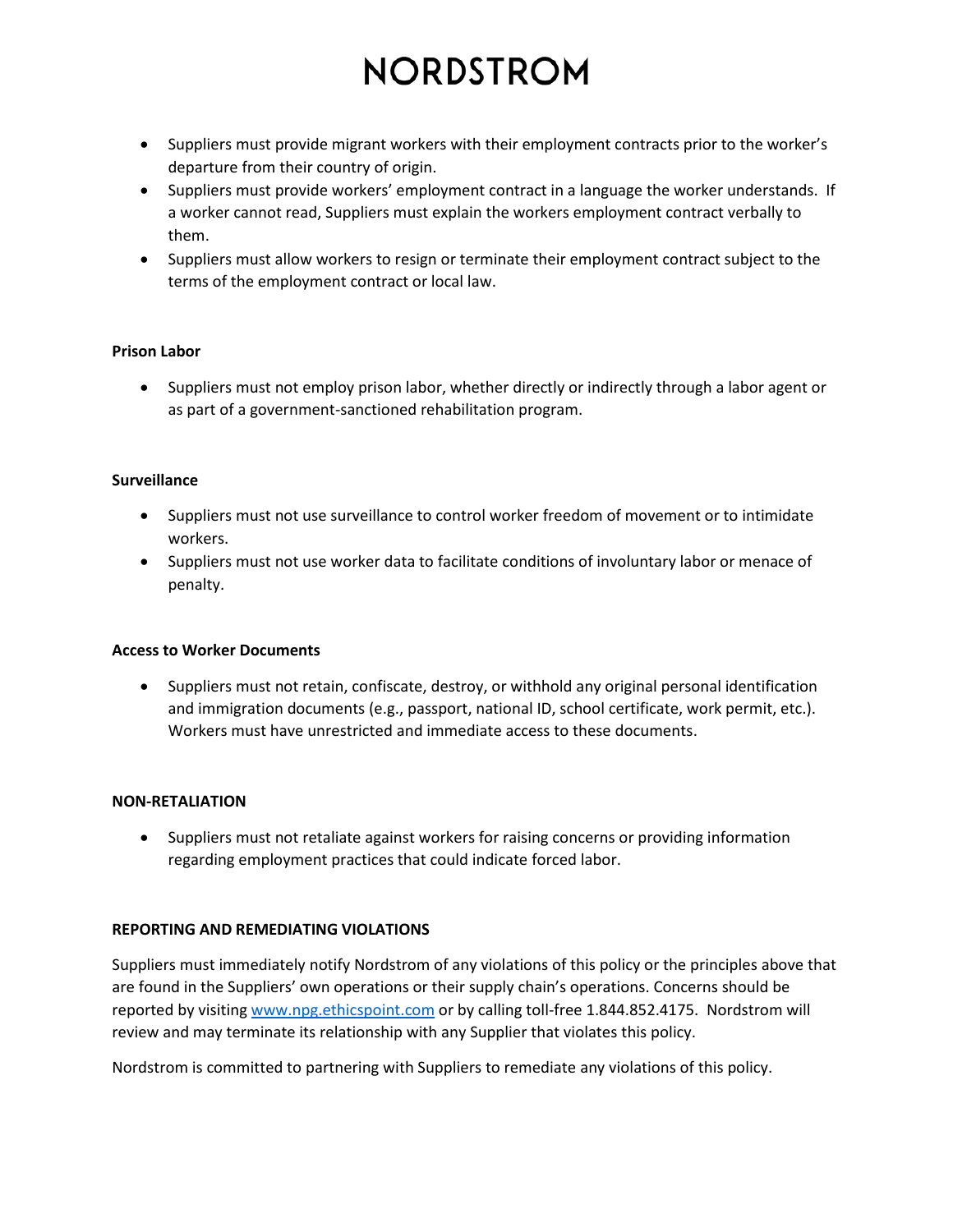- Suppliers must provide migrant workers with their employment contracts prior to the worker's departure from their country of origin.
- Suppliers must provide workers' employment contract in a language the worker understands. If a worker cannot read, Suppliers must explain the workers employment contract verbally to them.
- Suppliers must allow workers to resign or terminate their employment contract subject to the terms of the employment contract or local law.

# **Prison Labor**

• Suppliers must not employ prison labor, whether directly or indirectly through a labor agent or as part of a government-sanctioned rehabilitation program.

# **Surveillance**

- Suppliers must not use surveillance to control worker freedom of movement or to intimidate workers.
- Suppliers must not use worker data to facilitate conditions of involuntary labor or menace of penalty.

# **Access to Worker Documents**

• Suppliers must not retain, confiscate, destroy, or withhold any original personal identification and immigration documents (e.g., passport, national ID, school certificate, work permit, etc.). Workers must have unrestricted and immediate access to these documents.

# **NON-RETALIATION**

• Suppliers must not retaliate against workers for raising concerns or providing information regarding employment practices that could indicate forced labor.

# **REPORTING AND REMEDIATING VIOLATIONS**

Suppliers must immediately notify Nordstrom of any violations of this policy or the principles above that are found in the Suppliers' own operations or their supply chain's operations. Concerns should be reported by visitin[g www.npg.ethicspoint.com](http://www.npg.ethicspoint.com/) or by calling toll-free 1.844.852.4175. Nordstrom will review and may terminate its relationship with any Supplier that violates this policy.

Nordstrom is committed to partnering with Suppliers to remediate any violations of this policy.